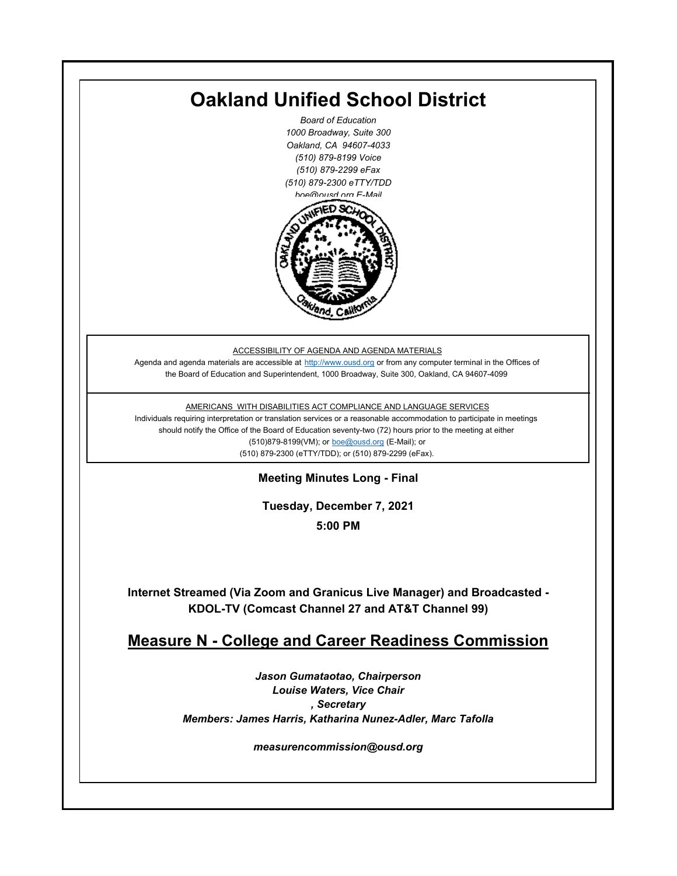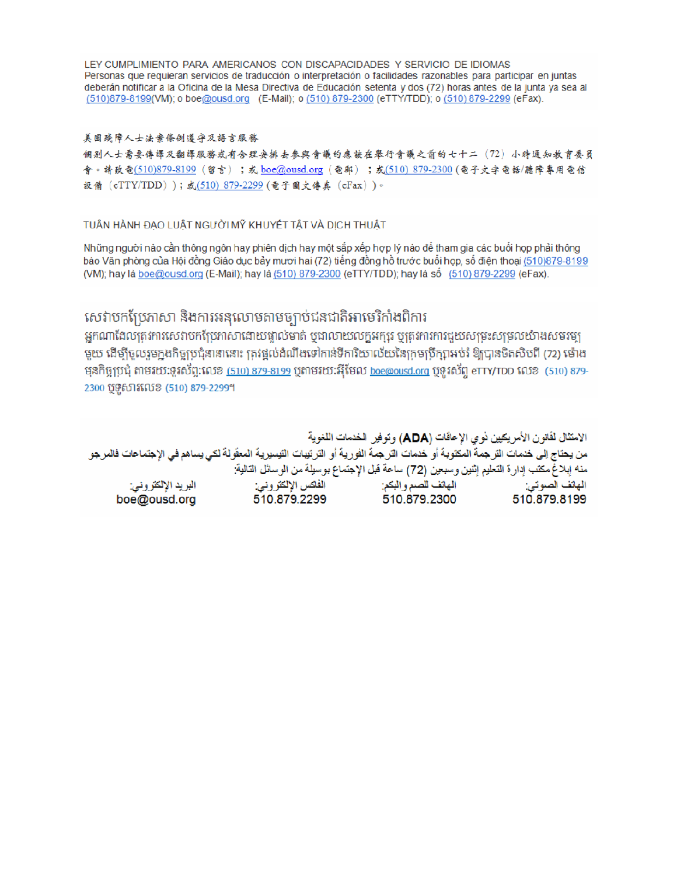LEY CUMPLIMIENTO PARA AMERICANOS CON DISCAPACIDADES Y SERVICIO DE IDIOMAS Personas que requieran servicios de traducción o interpretación o facilidades razonables para participar en juntas deberán notificar a la Oficina de la Mesa Directiva de Educación setenta y dos (72) horas antes de la junta ya sea al (510)879-8199(VM); o boe@ousd.org (E-Mail); o (510) 879-2300 (eTTY/TDD); o (510) 879-2299 (eFax).

#### 美国残障人士法案條例遵守及語言服務

個别人士需要傳譯及翻譯服務或有合理安排去參與會議的應該在舉行會議之前的七十二 (72) 小時通知教育委員 會。請致電(510)879-8199(留言);或 boe@ousd.org (電郵) ;或(510) 879-2300 (電子文字電話/聽障專用電信 設備 (eTTY/TDD));或(510) 879-2299 (電子圖文傳真 (eFax))。

### TUÂN HÀNH ĐẠO LUẬT NGƯỜI MỸ KHUYẾT TẤT VÀ DỊCH THUẬT

Những người nào cần thông ngôn hay phiên dịch hay một sắp xếp hợp lý nào để tham gia các buổi họp phải thông báo Văn phòng của Hội đồng Giáo dục bảy mươi hai (72) tiếng đồng hồ trước buổi họp, số điện thoại (510)879-8199 (VM); hay là boe@ousd.org (E-Mail); hay là (510) 879-2300 (eTTY/TDD); hay là số (510) 879-2299 (eFax).

## សេវាបកប្រែភាសា និងការអនុលោមតាមច្បាប់ជនជាតិអាមេរិកាំងពិការ

អកណាដែលតេវការសេវាបកប្រែភាសាដោយផ្ទាល់មាត់ ឬជាលាយលក្ខអក្សរ ឬត្រូវការការជួយសម្រះសម្រលយ៉ាងសមរម្យ មយ ដើម្បីចលរមកងកិច្ចប្រជុំនានានោះ ត្រូវផ្តល់ដំណឹងទៅកាន់ទីការិយាល័យនៃក្រមប្រឹក្សាអប់រំ ឱ្យបានចិតសិបពី (72) ម៉ោង ម្មនកិច្ចប្រជុំ តាមរយៈទូរស័ព្ទ:លេខ (<u>510) 879-8199</u> បុតាមរយៈអ៊ីមែល <u>boe@ousd.org</u> បុទ្**រ**ស័ព្ទ eTTY/TDD លេខ (510) 879-2300 ប៊ូទ្មិសារលេខ (510) 879-2299។

الامتثال لقانون الأمريكيين نو ي الإعاقات (ADA) وتوفير الخدمات اللغوية من يحتاج إلى خدمات التر جمة المكتوبة أو خدمات التر جمة الفورية أو الترتيبات التيسيرية المعفّولة لكي يساهم في الإجتماعات فالمرجو منه إبلاغ مكتب إدارة التعليم إثنين وسبعين (72) ساعة قبل الإجتماع بوسيلة من الوسائل التالية: البريد الإلكتروني: 510.879.2299 boe@ousd.org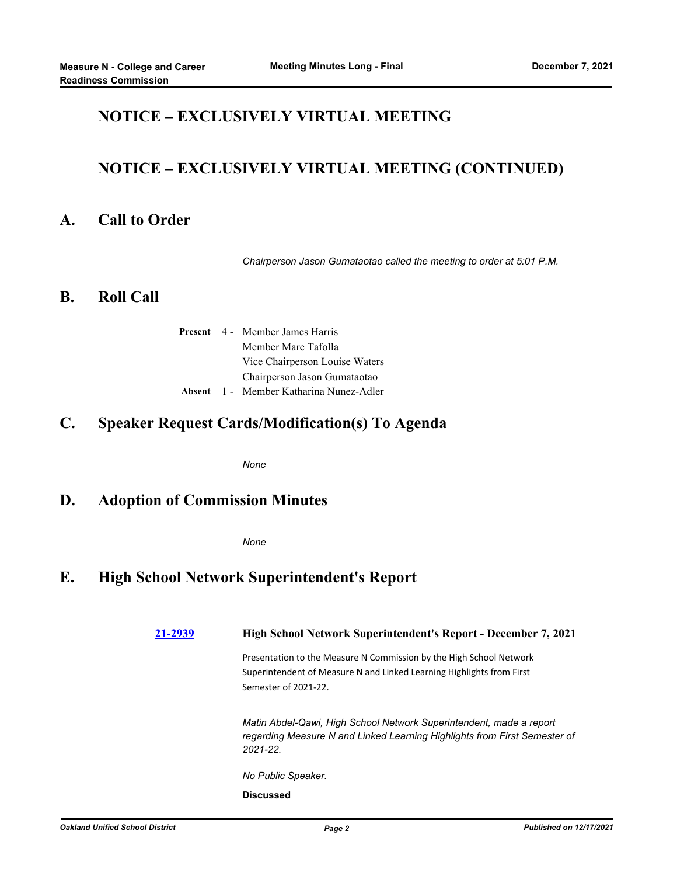## **NOTICE – EXCLUSIVELY VIRTUAL MEETING**

## **NOTICE – EXCLUSIVELY VIRTUAL MEETING (CONTINUED)**

### **A. Call to Order**

*Chairperson Jason Gumataotao called the meeting to order at 5:01 P.M.*

### **B. Roll Call**

|  | <b>Present</b> 4 - Member James Harris  |  |  |
|--|-----------------------------------------|--|--|
|  | Member Marc Tafolla                     |  |  |
|  | Vice Chairperson Louise Waters          |  |  |
|  | Chairperson Jason Gumataotao            |  |  |
|  | Absent 1 - Member Katharina Nunez-Adler |  |  |

## **C. Speaker Request Cards/Modification(s) To Agenda**

*None*

## **D. Adoption of Commission Minutes**

*None*

## **E. High School Network Superintendent's Report**

**[21-2939](http://ousd.legistar.com/gateway.aspx?m=l&id=/matter.aspx?key=54073) High School Network Superintendent's Report - December 7, 2021** Presentation to the Measure N Commission by the High School Network Superintendent of Measure N and Linked Learning Highlights from First Semester of 2021-22. *Matin Abdel-Qawi, High School Network Superintendent, made a report regarding Measure N and Linked Learning Highlights from First Semester of 2021-22. No Public Speaker.* **Discussed**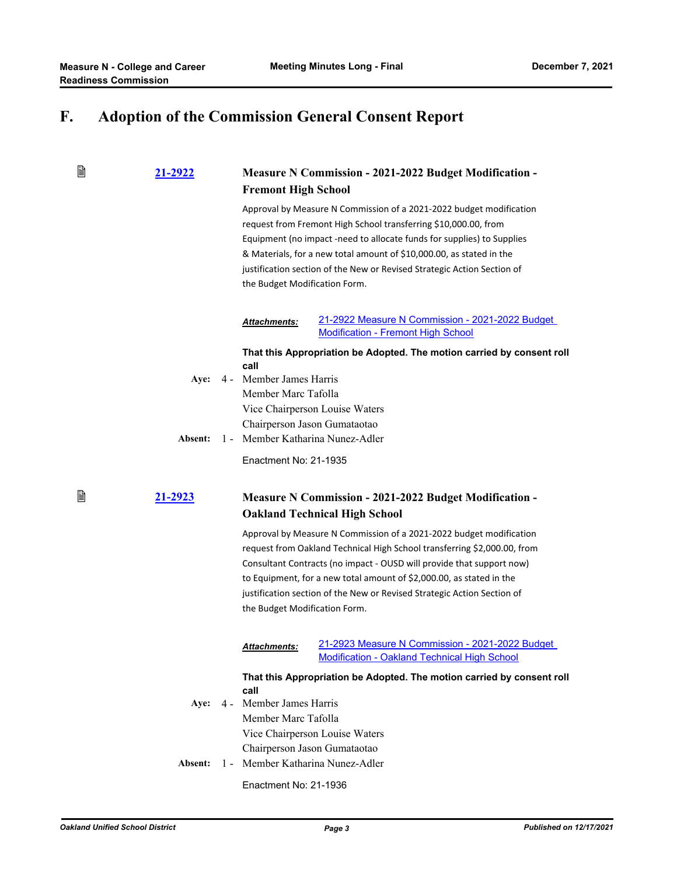# **F. Adoption of the Commission General Consent Report**

### 窅 **[21-2922](http://ousd.legistar.com/gateway.aspx?m=l&id=/matter.aspx?key=54056) Measure N Commission - 2021-2022 Budget Modification - Fremont High School** Approval by Measure N Commission of a 2021-2022 budget modification request from Fremont High School transferring \$10,000.00, from Equipment (no impact -need to allocate funds for supplies) to Supplies & Materials, for a new total amount of \$10,000.00, as stated in the justification section of the New or Revised Strategic Action Section of the Budget Modification Form. [21-2922 Measure N Commission - 2021-2022 Budget](http://ousd.legistar.com/gateway.aspx?M=F&ID=101714.pdf)  *Attachments:* Modification - Fremont High School **That this Appropriation be Adopted. The motion carried by consent roll call** Aye: 4 - Member James Harris Member Marc Tafolla Vice Chairperson Louise Waters Chairperson Jason Gumataotao **Absent:** 1 - Member Katharina Nunez-Adler Enactment No: 21-1935 誾 **[21-2923](http://ousd.legistar.com/gateway.aspx?m=l&id=/matter.aspx?key=54057) Measure N Commission - 2021-2022 Budget Modification - Oakland Technical High School** Approval by Measure N Commission of a 2021-2022 budget modification request from Oakland Technical High School transferring \$2,000.00, from Consultant Contracts (no impact - OUSD will provide that support now) to Equipment, for a new total amount of \$2,000.00, as stated in the justification section of the New or Revised Strategic Action Section of the Budget Modification Form. [21-2923 Measure N Commission - 2021-2022 Budget](http://ousd.legistar.com/gateway.aspx?M=F&ID=101715.pdf)  *Attachments:* Modification - Oakland Technical High School **That this Appropriation be Adopted. The motion carried by consent roll call** Aye:  $4 -$ **Aye:** Member James Harris Member Marc Tafolla Vice Chairperson Louise Waters Chairperson Jason Gumataotao **Absent:** 1 - Member Katharina Nunez-Adler

Enactment No: 21-1936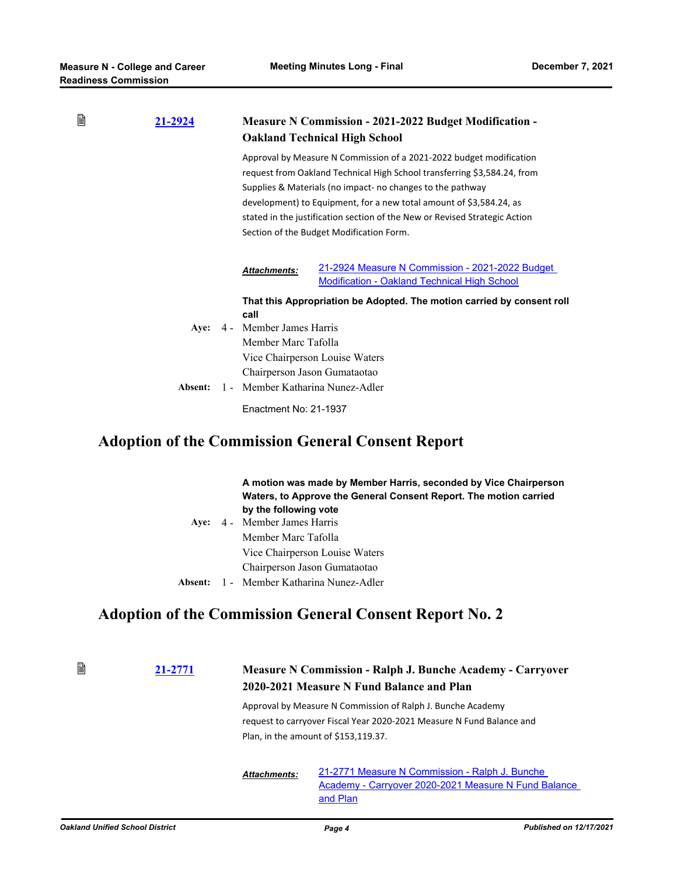| B | 21-2924 | <b>Measure N Commission - 2021-2022 Budget Modification -</b><br><b>Oakland Technical High School</b> |                                                                                                                                                                                                                                                                                                                                                                                                                |  |
|---|---------|-------------------------------------------------------------------------------------------------------|----------------------------------------------------------------------------------------------------------------------------------------------------------------------------------------------------------------------------------------------------------------------------------------------------------------------------------------------------------------------------------------------------------------|--|
|   |         |                                                                                                       | Approval by Measure N Commission of a 2021-2022 budget modification<br>request from Oakland Technical High School transferring \$3,584.24, from<br>Supplies & Materials (no impact- no changes to the pathway<br>development) to Equipment, for a new total amount of \$3,584.24, as<br>stated in the justification section of the New or Revised Strategic Action<br>Section of the Budget Modification Form. |  |
|   |         | <b>Attachments:</b>                                                                                   | 21-2924 Measure N Commission - 2021-2022 Budget<br><b>Modification - Oakland Technical High School</b>                                                                                                                                                                                                                                                                                                         |  |
|   |         | call                                                                                                  | That this Appropriation be Adopted. The motion carried by consent roll                                                                                                                                                                                                                                                                                                                                         |  |
|   | Aye:    | 4 - Member James Harris<br>Member Marc Tafolla                                                        | Vice Chairperson Louise Waters                                                                                                                                                                                                                                                                                                                                                                                 |  |
|   |         | Chairperson Jason Gumataotao                                                                          |                                                                                                                                                                                                                                                                                                                                                                                                                |  |
|   | Absent: | 1 - Member Katharina Nunez-Adler                                                                      |                                                                                                                                                                                                                                                                                                                                                                                                                |  |
|   |         | Enactment No: 21-1937                                                                                 |                                                                                                                                                                                                                                                                                                                                                                                                                |  |

# **Adoption of the Commission General Consent Report**

|         | A motion was made by Member Harris, seconded by Vice Chairperson<br>Waters, to Approve the General Consent Report. The motion carried<br>by the following vote |
|---------|----------------------------------------------------------------------------------------------------------------------------------------------------------------|
|         | Aye: 4 - Member James Harris                                                                                                                                   |
|         | Member Marc Tafolla                                                                                                                                            |
|         | Vice Chairperson Louise Waters                                                                                                                                 |
|         | Chairperson Jason Gumataotao                                                                                                                                   |
| Absent: | 1 - Member Katharina Nunez-Adler                                                                                                                               |

# **Adoption of the Commission General Consent Report No. 2**

| 21-2771 | <b>Measure N Commission - Ralph J. Bunche Academy - Carryover</b><br>2020-2021 Measure N Fund Balance and Plan |                                                                                                                                                                              |  |
|---------|----------------------------------------------------------------------------------------------------------------|------------------------------------------------------------------------------------------------------------------------------------------------------------------------------|--|
|         |                                                                                                                | Approval by Measure N Commission of Ralph J. Bunche Academy<br>request to carryover Fiscal Year 2020-2021 Measure N Fund Balance and<br>Plan, in the amount of \$153,119.37. |  |
|         | <b>Attachments:</b>                                                                                            | 21-2771 Measure N Commission - Ralph J. Bunche<br>Academy - Carryover 2020-2021 Measure N Fund Balance<br>and Plan                                                           |  |

B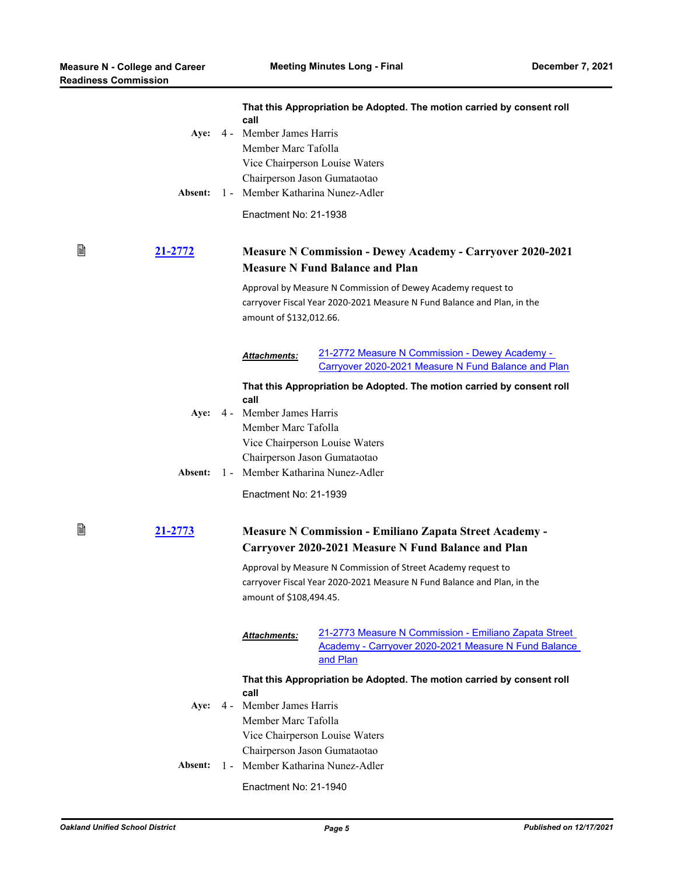|   | Aye:<br>Absent: |                              | call<br>4 - Member James Harris<br>Member Marc Tafolla                                                      | That this Appropriation be Adopted. The motion carried by consent roll<br>Vice Chairperson Louise Waters<br>Chairperson Jason Gumataotao<br>1 - Member Katharina Nunez-Adler |  |
|---|-----------------|------------------------------|-------------------------------------------------------------------------------------------------------------|------------------------------------------------------------------------------------------------------------------------------------------------------------------------------|--|
|   |                 |                              | Enactment No: 21-1938                                                                                       |                                                                                                                                                                              |  |
| B | <u>21-2772</u>  |                              | <b>Measure N Commission - Dewey Academy - Carryover 2020-2021</b><br><b>Measure N Fund Balance and Plan</b> |                                                                                                                                                                              |  |
|   |                 |                              | amount of \$132,012.66.                                                                                     | Approval by Measure N Commission of Dewey Academy request to<br>carryover Fiscal Year 2020-2021 Measure N Fund Balance and Plan, in the                                      |  |
|   |                 |                              | <b>Attachments:</b>                                                                                         | 21-2772 Measure N Commission - Dewey Academy -<br>Carryover 2020-2021 Measure N Fund Balance and Plan                                                                        |  |
|   |                 |                              |                                                                                                             | That this Appropriation be Adopted. The motion carried by consent roll                                                                                                       |  |
|   | Aye:            |                              | call<br>4 - Member James Harris                                                                             |                                                                                                                                                                              |  |
|   |                 |                              | Member Marc Tafolla                                                                                         |                                                                                                                                                                              |  |
|   |                 |                              |                                                                                                             | Vice Chairperson Louise Waters                                                                                                                                               |  |
|   |                 |                              | Chairperson Jason Gumataotao<br>Member Katharina Nunez-Adler                                                |                                                                                                                                                                              |  |
|   | Absent:         | $1 -$                        |                                                                                                             |                                                                                                                                                                              |  |
|   |                 |                              | Enactment No: 21-1939                                                                                       |                                                                                                                                                                              |  |
| B | 21-2773         |                              |                                                                                                             | <b>Measure N Commission - Emiliano Zapata Street Academy -</b><br>Carryover 2020-2021 Measure N Fund Balance and Plan                                                        |  |
|   |                 |                              |                                                                                                             | Approval by Measure N Commission of Street Academy request to                                                                                                                |  |
|   |                 |                              | amount of \$108,494.45.                                                                                     | carryover Fiscal Year 2020-2021 Measure N Fund Balance and Plan, in the                                                                                                      |  |
|   |                 |                              | <u>Attachments:</u>                                                                                         | 21-2773 Measure N Commission - Emiliano Zapata Street<br>Academy - Carryover 2020-2021 Measure N Fund Balance<br>and Plan                                                    |  |
|   |                 |                              |                                                                                                             | That this Appropriation be Adopted. The motion carried by consent roll                                                                                                       |  |
|   |                 |                              | call                                                                                                        |                                                                                                                                                                              |  |
|   | Aye:            |                              | 4 - Member James Harris                                                                                     |                                                                                                                                                                              |  |
|   |                 |                              | Member Marc Tafolla                                                                                         |                                                                                                                                                                              |  |
|   |                 |                              |                                                                                                             | Vice Chairperson Louise Waters                                                                                                                                               |  |
|   |                 | Chairperson Jason Gumataotao |                                                                                                             |                                                                                                                                                                              |  |
|   | Absent:         | $1 -$                        | Member Katharina Nunez-Adler                                                                                |                                                                                                                                                                              |  |
|   |                 | Enactment No: 21-1940        |                                                                                                             |                                                                                                                                                                              |  |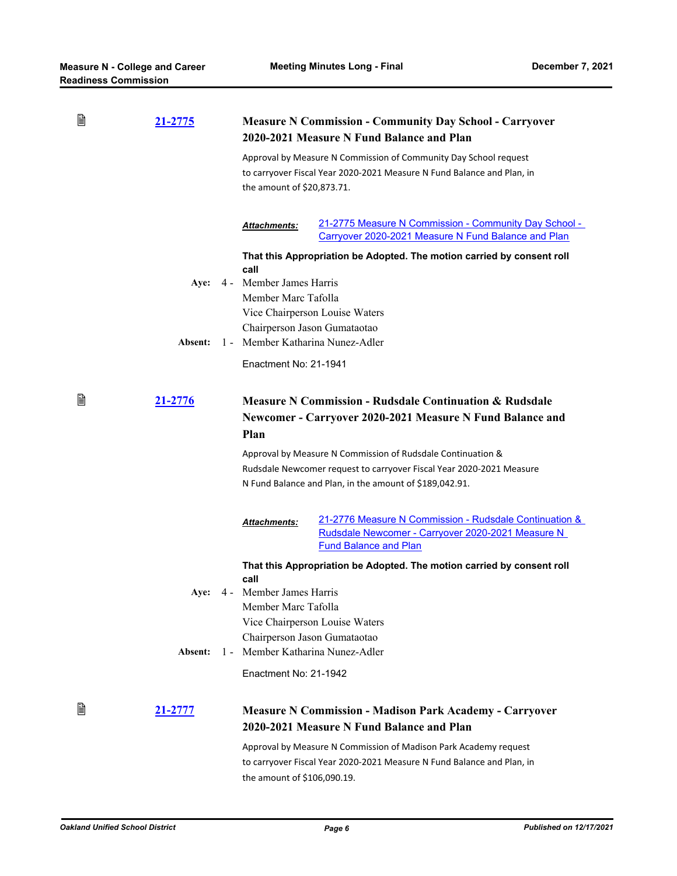| B | <u>21-2775</u> |       | <b>Measure N Commission - Community Day School - Carryover</b><br>2020-2021 Measure N Fund Balance and Plan                             |                                                                                                                                             |  |  |
|---|----------------|-------|-----------------------------------------------------------------------------------------------------------------------------------------|---------------------------------------------------------------------------------------------------------------------------------------------|--|--|
|   |                |       | the amount of \$20,873.71.                                                                                                              | Approval by Measure N Commission of Community Day School request<br>to carryover Fiscal Year 2020-2021 Measure N Fund Balance and Plan, in  |  |  |
|   |                |       | Attachments:                                                                                                                            | 21-2775 Measure N Commission - Community Day School -<br>Carryover 2020-2021 Measure N Fund Balance and Plan                                |  |  |
|   |                |       |                                                                                                                                         | That this Appropriation be Adopted. The motion carried by consent roll                                                                      |  |  |
|   | Aye:           |       | call<br>4 - Member James Harris                                                                                                         |                                                                                                                                             |  |  |
|   |                |       | Member Marc Tafolla                                                                                                                     |                                                                                                                                             |  |  |
|   |                |       |                                                                                                                                         | Vice Chairperson Louise Waters                                                                                                              |  |  |
|   |                |       | Chairperson Jason Gumataotao                                                                                                            |                                                                                                                                             |  |  |
|   | Absent:        |       |                                                                                                                                         | 1 - Member Katharina Nunez-Adler                                                                                                            |  |  |
|   |                |       | Enactment No: 21-1941                                                                                                                   |                                                                                                                                             |  |  |
| 閶 | 21-2776        |       | <b>Measure N Commission - Rudsdale Continuation &amp; Rudsdale</b><br>Newcomer - Carryover 2020-2021 Measure N Fund Balance and<br>Plan |                                                                                                                                             |  |  |
|   |                |       |                                                                                                                                         |                                                                                                                                             |  |  |
|   |                |       | Approval by Measure N Commission of Rudsdale Continuation &                                                                             |                                                                                                                                             |  |  |
|   |                |       | Rudsdale Newcomer request to carryover Fiscal Year 2020-2021 Measure<br>N Fund Balance and Plan, in the amount of \$189,042.91.         |                                                                                                                                             |  |  |
|   |                |       | <b>Attachments:</b>                                                                                                                     | 21-2776 Measure N Commission - Rudsdale Continuation &<br>Rudsdale Newcomer - Carryover 2020-2021 Measure N<br><b>Fund Balance and Plan</b> |  |  |
|   |                |       |                                                                                                                                         | That this Appropriation be Adopted. The motion carried by consent roll                                                                      |  |  |
|   |                |       | call                                                                                                                                    |                                                                                                                                             |  |  |
|   | Aye:           |       | 4 - Member James Harris                                                                                                                 |                                                                                                                                             |  |  |
|   |                |       | Member Marc Tafolla                                                                                                                     |                                                                                                                                             |  |  |
|   |                |       |                                                                                                                                         | Vice Chairperson Louise Waters<br>Chairperson Jason Gumataotao                                                                              |  |  |
|   | Absent:        | $1 -$ |                                                                                                                                         | Member Katharina Nunez-Adler                                                                                                                |  |  |
|   |                |       | Enactment No: 21-1942                                                                                                                   |                                                                                                                                             |  |  |
| 閆 | <u>21-2777</u> |       |                                                                                                                                         | <b>Measure N Commission - Madison Park Academy - Carryover</b><br>2020-2021 Measure N Fund Balance and Plan                                 |  |  |
|   |                |       | the amount of \$106,090.19.                                                                                                             | Approval by Measure N Commission of Madison Park Academy request<br>to carryover Fiscal Year 2020-2021 Measure N Fund Balance and Plan, in  |  |  |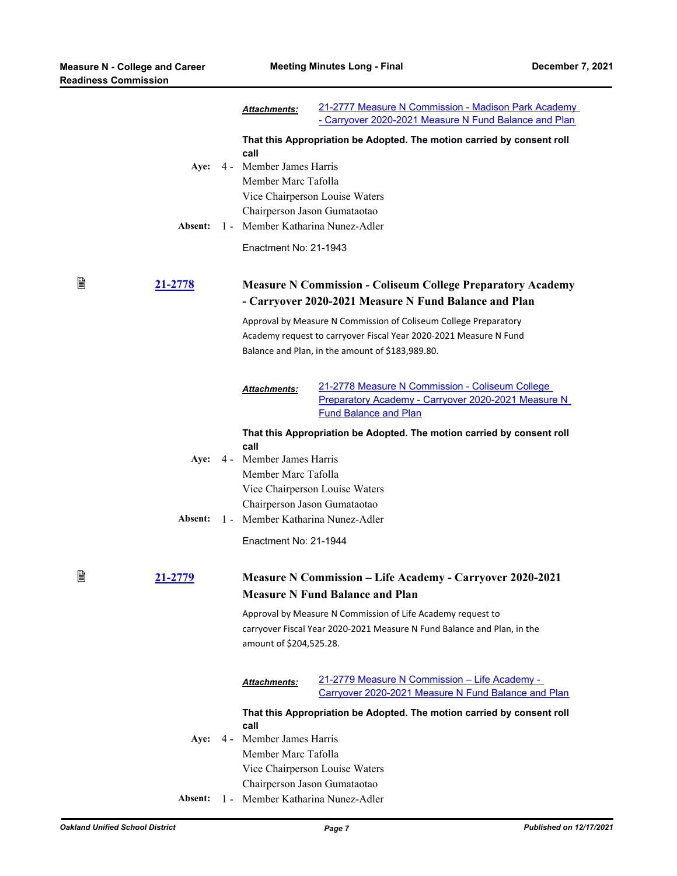|   |         |     | <b>Attachments:</b>                                              | 21-2777 Measure N Commission - Madison Park Academy<br>- Carryover 2020-2021 Measure N Fund Balance and Plan                           |
|---|---------|-----|------------------------------------------------------------------|----------------------------------------------------------------------------------------------------------------------------------------|
|   | Aye:    |     | call<br>4 - Member James Harris                                  | That this Appropriation be Adopted. The motion carried by consent roll                                                                 |
|   |         |     | Member Marc Tafolla                                              |                                                                                                                                        |
|   |         |     | Vice Chairperson Louise Waters<br>Chairperson Jason Gumataotao   |                                                                                                                                        |
|   | Absent: |     | 1 - Member Katharina Nunez-Adler                                 |                                                                                                                                        |
|   |         |     | Enactment No: 21-1943                                            |                                                                                                                                        |
| B | 21-2778 |     |                                                                  | <b>Measure N Commission - Coliseum College Preparatory Academy</b><br>- Carryover 2020-2021 Measure N Fund Balance and Plan            |
|   |         |     |                                                                  | Approval by Measure N Commission of Coliseum College Preparatory                                                                       |
|   |         |     |                                                                  | Academy request to carryover Fiscal Year 2020-2021 Measure N Fund<br>Balance and Plan, in the amount of \$183,989.80.                  |
|   |         |     |                                                                  |                                                                                                                                        |
|   |         |     | Attachments:                                                     | 21-2778 Measure N Commission - Coliseum College<br>Preparatory Academy - Carryover 2020-2021 Measure N<br><b>Fund Balance and Plan</b> |
|   |         |     |                                                                  | That this Appropriation be Adopted. The motion carried by consent roll                                                                 |
|   | Aye:    |     | call<br>4 - Member James Harris                                  |                                                                                                                                        |
|   |         |     | Member Marc Tafolla                                              |                                                                                                                                        |
|   |         |     | Vice Chairperson Louise Waters                                   |                                                                                                                                        |
|   | Absent: |     | Chairperson Jason Gumataotao<br>1 - Member Katharina Nunez-Adler |                                                                                                                                        |
|   |         |     | Enactment No: 21-1944                                            |                                                                                                                                        |
|   |         |     |                                                                  |                                                                                                                                        |
| B | 21-2779 |     |                                                                  | <b>Measure N Commission – Life Academy - Carryover 2020-2021</b><br><b>Measure N Fund Balance and Plan</b>                             |
|   |         |     |                                                                  | Approval by Measure N Commission of Life Academy request to                                                                            |
|   |         |     | amount of \$204,525.28.                                          | carryover Fiscal Year 2020-2021 Measure N Fund Balance and Plan, in the                                                                |
|   |         |     |                                                                  |                                                                                                                                        |
|   |         |     | <b>Attachments:</b>                                              | 21-2779 Measure N Commission - Life Academy -<br>Carryover 2020-2021 Measure N Fund Balance and Plan                                   |
|   |         |     | call                                                             | That this Appropriation be Adopted. The motion carried by consent roll                                                                 |
|   | Aye:    | 4 - | Member James Harris                                              |                                                                                                                                        |
|   |         |     | Member Marc Tafolla                                              |                                                                                                                                        |
|   |         |     | Vice Chairperson Louise Waters                                   |                                                                                                                                        |
|   |         |     | Chairperson Jason Gumataotao                                     |                                                                                                                                        |
|   | Absent: |     | 1 - Member Katharina Nunez-Adler                                 |                                                                                                                                        |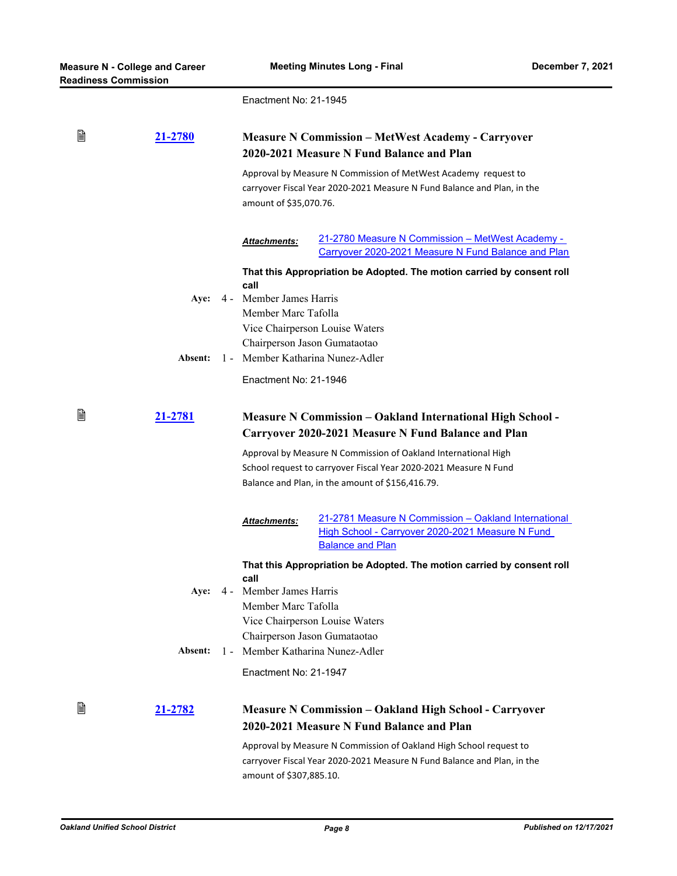Enactment No: 21-1945

| B | 21-2780        |                                                                                                                          | <b>Measure N Commission - MetWest Academy - Carryover</b><br>2020-2021 Measure N Fund Balance and Plan<br>Approval by Measure N Commission of MetWest Academy request to<br>carryover Fiscal Year 2020-2021 Measure N Fund Balance and Plan, in the<br>amount of \$35,070.76. |  |  |
|---|----------------|--------------------------------------------------------------------------------------------------------------------------|-------------------------------------------------------------------------------------------------------------------------------------------------------------------------------------------------------------------------------------------------------------------------------|--|--|
|   |                | Attachments:                                                                                                             | 21-2780 Measure N Commission - MetWest Academy -<br>Carryover 2020-2021 Measure N Fund Balance and Plan                                                                                                                                                                       |  |  |
|   |                | That this Appropriation be Adopted. The motion carried by consent roll                                                   |                                                                                                                                                                                                                                                                               |  |  |
|   | Aye:           | call<br>4 - Member James Harris                                                                                          |                                                                                                                                                                                                                                                                               |  |  |
|   |                | Member Marc Tafolla                                                                                                      |                                                                                                                                                                                                                                                                               |  |  |
|   |                |                                                                                                                          | Vice Chairperson Louise Waters                                                                                                                                                                                                                                                |  |  |
|   |                |                                                                                                                          | Chairperson Jason Gumataotao                                                                                                                                                                                                                                                  |  |  |
|   | Absent:        | 1 - Member Katharina Nunez-Adler                                                                                         |                                                                                                                                                                                                                                                                               |  |  |
|   |                | Enactment No: 21-1946                                                                                                    |                                                                                                                                                                                                                                                                               |  |  |
| B | 21-2781        | <b>Measure N Commission - Oakland International High School -</b><br>Carryover 2020-2021 Measure N Fund Balance and Plan |                                                                                                                                                                                                                                                                               |  |  |
|   |                |                                                                                                                          | Approval by Measure N Commission of Oakland International High                                                                                                                                                                                                                |  |  |
|   |                |                                                                                                                          | School request to carryover Fiscal Year 2020-2021 Measure N Fund                                                                                                                                                                                                              |  |  |
|   |                | Balance and Plan, in the amount of \$156,416.79.                                                                         |                                                                                                                                                                                                                                                                               |  |  |
|   |                | Attachments:                                                                                                             | 21-2781 Measure N Commission - Oakland International<br>High School - Carryover 2020-2021 Measure N Fund<br><b>Balance and Plan</b>                                                                                                                                           |  |  |
|   |                | call                                                                                                                     | That this Appropriation be Adopted. The motion carried by consent roll                                                                                                                                                                                                        |  |  |
|   | Aye:           | 4 - Member James Harris                                                                                                  |                                                                                                                                                                                                                                                                               |  |  |
|   |                | Member Marc Tafolla                                                                                                      |                                                                                                                                                                                                                                                                               |  |  |
|   |                |                                                                                                                          | Vice Chairperson Louise Waters                                                                                                                                                                                                                                                |  |  |
|   |                |                                                                                                                          | Chairperson Jason Gumataotao                                                                                                                                                                                                                                                  |  |  |
|   | Absent:        | $1 -$                                                                                                                    | Member Katharina Nunez-Adler                                                                                                                                                                                                                                                  |  |  |
|   |                | Enactment No: 21-1947                                                                                                    |                                                                                                                                                                                                                                                                               |  |  |
| 窅 | <u>21-2782</u> |                                                                                                                          | <b>Measure N Commission - Oakland High School - Carryover</b><br>2020-2021 Measure N Fund Balance and Plan                                                                                                                                                                    |  |  |
|   |                |                                                                                                                          | Approval by Measure N Commission of Oakland High School request to<br>carryover Fiscal Year 2020-2021 Measure N Fund Balance and Plan, in the                                                                                                                                 |  |  |

amount of \$307,885.10.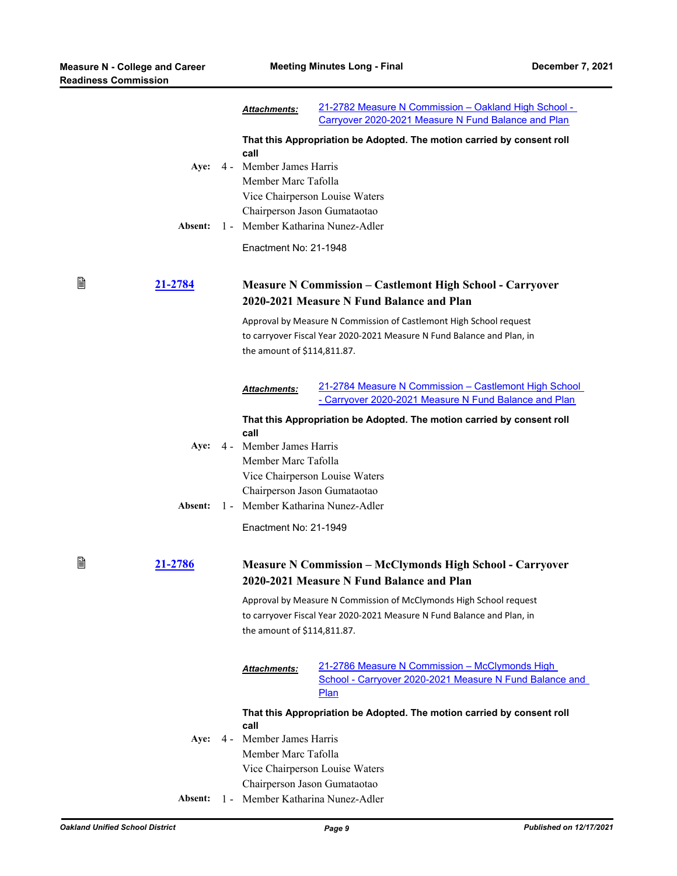₿

₿

|         | Attachments:                                                     | 21-2782 Measure N Commission - Oakland High School -<br>Carryover 2020-2021 Measure N Fund Balance and Plan                                  |  |  |
|---------|------------------------------------------------------------------|----------------------------------------------------------------------------------------------------------------------------------------------|--|--|
|         |                                                                  | That this Appropriation be Adopted. The motion carried by consent roll                                                                       |  |  |
| Aye:    | call<br>4 - Member James Harris<br>Member Marc Tafolla           |                                                                                                                                              |  |  |
|         | Vice Chairperson Louise Waters                                   |                                                                                                                                              |  |  |
| Absent: | Chairperson Jason Gumataotao<br>1 - Member Katharina Nunez-Adler |                                                                                                                                              |  |  |
|         | Enactment No: 21-1948                                            |                                                                                                                                              |  |  |
|         |                                                                  |                                                                                                                                              |  |  |
| 21-2784 |                                                                  | <b>Measure N Commission – Castlemont High School - Carryover</b><br>2020-2021 Measure N Fund Balance and Plan                                |  |  |
|         |                                                                  | Approval by Measure N Commission of Castlemont High School request                                                                           |  |  |
|         | the amount of \$114,811.87.                                      | to carryover Fiscal Year 2020-2021 Measure N Fund Balance and Plan, in                                                                       |  |  |
|         | Attachments:                                                     | 21-2784 Measure N Commission - Castlemont High School<br>- Carryover 2020-2021 Measure N Fund Balance and Plan                               |  |  |
|         |                                                                  | That this Appropriation be Adopted. The motion carried by consent roll                                                                       |  |  |
| Aye:    | call<br>4 - Member James Harris                                  |                                                                                                                                              |  |  |
|         | Member Marc Tafolla                                              |                                                                                                                                              |  |  |
|         |                                                                  | Vice Chairperson Louise Waters                                                                                                               |  |  |
| Absent: | Chairperson Jason Gumataotao<br>1 - Member Katharina Nunez-Adler |                                                                                                                                              |  |  |
|         | Enactment No: 21-1949                                            |                                                                                                                                              |  |  |
| 21-2786 |                                                                  | <b>Measure N Commission - McClymonds High School - Carryover</b><br>2020-2021 Measure N Fund Balance and Plan                                |  |  |
|         | the amount of \$114,811.87.                                      | Approval by Measure N Commission of McClymonds High School request<br>to carryover Fiscal Year 2020-2021 Measure N Fund Balance and Plan, in |  |  |
|         | Attachments:                                                     | 21-2786 Measure N Commission - McClymonds High<br>School - Carryover 2020-2021 Measure N Fund Balance and<br><b>Plan</b>                     |  |  |
|         |                                                                  | That this Appropriation be Adopted. The motion carried by consent roll                                                                       |  |  |
| Aye:    | call<br>4 - Member James Harris                                  |                                                                                                                                              |  |  |
|         | Member Marc Tafolla                                              |                                                                                                                                              |  |  |
|         |                                                                  | Vice Chairperson Louise Waters                                                                                                               |  |  |
|         |                                                                  | Chairperson Jason Gumataotao                                                                                                                 |  |  |
| Absent: | 1 - Member Katharina Nunez-Adler                                 |                                                                                                                                              |  |  |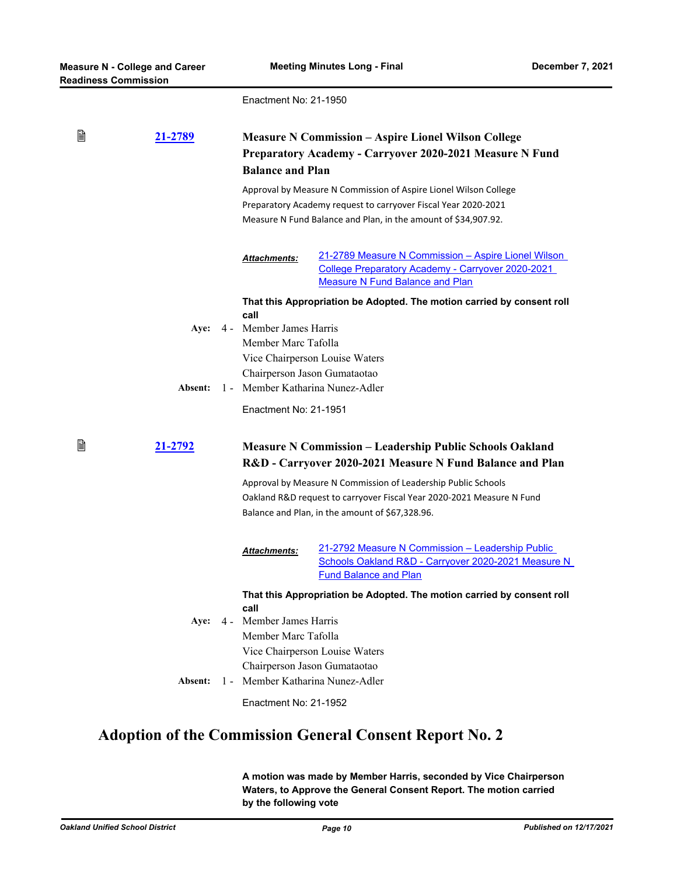Enactment No: 21-1950

| B | 21-2789        |                                                                | <b>Measure N Commission - Aspire Lionel Wilson College</b><br>Preparatory Academy - Carryover 2020-2021 Measure N Fund<br><b>Balance and Plan</b> |  |  |
|---|----------------|----------------------------------------------------------------|---------------------------------------------------------------------------------------------------------------------------------------------------|--|--|
|   |                |                                                                | Approval by Measure N Commission of Aspire Lionel Wilson College                                                                                  |  |  |
|   |                |                                                                | Preparatory Academy request to carryover Fiscal Year 2020-2021                                                                                    |  |  |
|   |                |                                                                | Measure N Fund Balance and Plan, in the amount of \$34,907.92.                                                                                    |  |  |
|   |                | Attachments:                                                   | 21-2789 Measure N Commission - Aspire Lionel Wilson                                                                                               |  |  |
|   |                |                                                                | <b>College Preparatory Academy - Carryover 2020-2021</b>                                                                                          |  |  |
|   |                |                                                                | <b>Measure N Fund Balance and Plan</b>                                                                                                            |  |  |
|   |                | call                                                           | That this Appropriation be Adopted. The motion carried by consent roll                                                                            |  |  |
|   | Aye:           | 4 - Member James Harris                                        |                                                                                                                                                   |  |  |
|   |                | Member Marc Tafolla                                            |                                                                                                                                                   |  |  |
|   |                |                                                                | Vice Chairperson Louise Waters                                                                                                                    |  |  |
|   |                |                                                                | Chairperson Jason Gumataotao                                                                                                                      |  |  |
|   | Absent:        |                                                                | 1 - Member Katharina Nunez-Adler                                                                                                                  |  |  |
|   |                | Enactment No: 21-1951                                          |                                                                                                                                                   |  |  |
| B | <u>21-2792</u> |                                                                | <b>Measure N Commission - Leadership Public Schools Oakland</b><br>R&D - Carryover 2020-2021 Measure N Fund Balance and Plan                      |  |  |
|   |                |                                                                | Approval by Measure N Commission of Leadership Public Schools                                                                                     |  |  |
|   |                |                                                                | Oakland R&D request to carryover Fiscal Year 2020-2021 Measure N Fund                                                                             |  |  |
|   |                |                                                                | Balance and Plan, in the amount of \$67,328.96.                                                                                                   |  |  |
|   |                | <b>Attachments:</b>                                            | 21-2792 Measure N Commission - Leadership Public<br>Schools Oakland R&D - Carryover 2020-2021 Measure N<br><b>Fund Balance and Plan</b>           |  |  |
|   |                |                                                                | That this Appropriation be Adopted. The motion carried by consent roll                                                                            |  |  |
|   |                | call                                                           |                                                                                                                                                   |  |  |
|   |                | Aye: 4 - Member James Harris                                   |                                                                                                                                                   |  |  |
|   |                | Member Marc Tafolla                                            |                                                                                                                                                   |  |  |
|   |                | Vice Chairperson Louise Waters<br>Chairperson Jason Gumataotao |                                                                                                                                                   |  |  |
|   |                |                                                                |                                                                                                                                                   |  |  |
|   | Absent:        | 1 - Member Katharina Nunez-Adler                               |                                                                                                                                                   |  |  |
|   |                | Enactment No: 21-1952                                          |                                                                                                                                                   |  |  |

# **Adoption of the Commission General Consent Report No. 2**

**A motion was made by Member Harris, seconded by Vice Chairperson Waters, to Approve the General Consent Report. The motion carried by the following vote**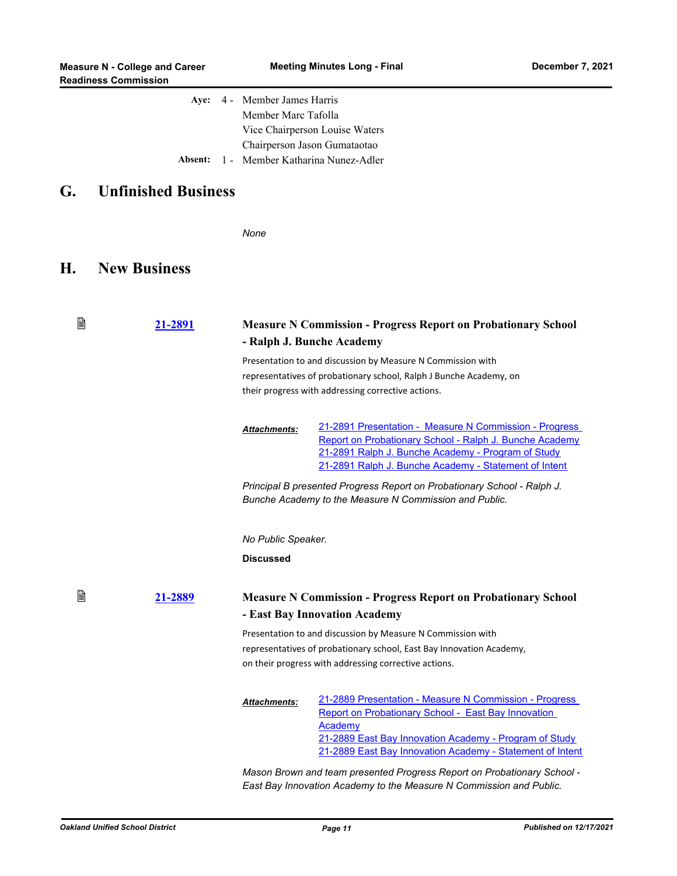|  | Aye: 4 - Member James Harris             |
|--|------------------------------------------|
|  | Member Marc Tafolla                      |
|  | Vice Chairperson Louise Waters           |
|  | Chairperson Jason Gumataotao             |
|  | Absent: 1 - Member Katharina Nunez-Adler |

## **G. Unfinished Business**

*None*

## **H. New Business**

| B<br>21-2891 |  | <b>Measure N Commission - Progress Report on Probationary School</b><br>- Ralph J. Bunche Academy |                                                                                                                                                                                                                                                 |  |
|--------------|--|---------------------------------------------------------------------------------------------------|-------------------------------------------------------------------------------------------------------------------------------------------------------------------------------------------------------------------------------------------------|--|
|              |  |                                                                                                   | Presentation to and discussion by Measure N Commission with<br>representatives of probationary school, Ralph J Bunche Academy, on<br>their progress with addressing corrective actions.                                                         |  |
|              |  | <b>Attachments:</b>                                                                               | 21-2891 Presentation - Measure N Commission - Progress<br>Report on Probationary School - Ralph J. Bunche Academy<br>21-2891 Ralph J. Bunche Academy - Program of Study<br>21-2891 Ralph J. Bunche Academy - Statement of Intent                |  |
|              |  |                                                                                                   | Principal B presented Progress Report on Probationary School - Ralph J.<br>Bunche Academy to the Measure N Commission and Public.                                                                                                               |  |
|              |  | No Public Speaker.                                                                                |                                                                                                                                                                                                                                                 |  |
|              |  | <b>Discussed</b>                                                                                  |                                                                                                                                                                                                                                                 |  |
| B<br>21-2889 |  |                                                                                                   | <b>Measure N Commission - Progress Report on Probationary School</b><br>- East Bay Innovation Academy                                                                                                                                           |  |
|              |  |                                                                                                   | Presentation to and discussion by Measure N Commission with<br>representatives of probationary school, East Bay Innovation Academy,<br>on their progress with addressing corrective actions.                                                    |  |
|              |  | <b>Attachments:</b>                                                                               | 21-2889 Presentation - Measure N Commission - Progress<br>Report on Probationary School - East Bay Innovation<br>Academy<br>21-2889 East Bay Innovation Academy - Program of Study<br>21-2889 East Bay Innovation Academy - Statement of Intent |  |
|              |  |                                                                                                   | Mason Brown and team presented Progress Report on Probationary School -<br>East Bay Innovation Academy to the Measure N Commission and Public.                                                                                                  |  |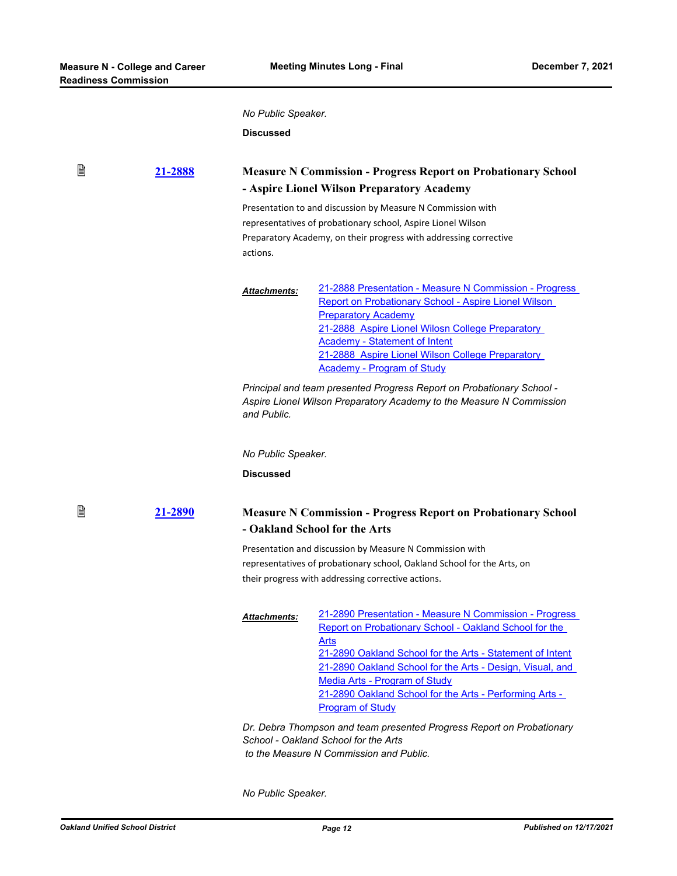窅

₿

*No Public Speaker.*

**Discussed**

### **[21-2888](http://ousd.legistar.com/gateway.aspx?m=l&id=/matter.aspx?key=54022) Measure N Commission - Progress Report on Probationary School - Aspire Lionel Wilson Preparatory Academy**

Presentation to and discussion by Measure N Commission with representatives of probationary school, Aspire Lionel Wilson Preparatory Academy, on their progress with addressing corrective actions.

[21-2888 Presentation - Measure N Commission - Progress](http://ousd.legistar.com/gateway.aspx?M=F&ID=101718.pptx)  Report on Probationary School - Aspire Lionel Wilson Preparatory Academy [21-2888 Aspire Lionel Wilosn College Preparatory](http://ousd.legistar.com/gateway.aspx?M=F&ID=101719.pdf)  Academy - Statement of Intent [21-2888 Aspire Lionel Wilson College Preparatory](http://ousd.legistar.com/gateway.aspx?M=F&ID=101720.pdf)  Academy - Program of Study *Attachments:*

*Principal and team presented Progress Report on Probationary School - Aspire Lionel Wilson Preparatory Academy to the Measure N Commission and Public.*

*No Public Speaker.*

**Discussed**

### **[21-2890](http://ousd.legistar.com/gateway.aspx?m=l&id=/matter.aspx?key=54024) Measure N Commission - Progress Report on Probationary School - Oakland School for the Arts**

Presentation and discussion by Measure N Commission with representatives of probationary school, Oakland School for the Arts, on their progress with addressing corrective actions.

[21-2890 Presentation - Measure N Commission - Progress](http://ousd.legistar.com/gateway.aspx?M=F&ID=101725.pptx)  Report on Probationary School - Oakland School for the Arts [21-2890 Oakland School for the Arts - Statement of Intent](http://ousd.legistar.com/gateway.aspx?M=F&ID=101728.pdf) [21-2890 Oakland School for the Arts - Design, Visual, and](http://ousd.legistar.com/gateway.aspx?M=F&ID=101726.pdf)  Media Arts - Program of Study 21-2890 Oakland School for the Arts - Performing Arts -Program of Study *Attachments:*

*Dr. Debra Thompson and team presented Progress Report on Probationary School - Oakland School for the Arts to the Measure N Commission and Public.*

*No Public Speaker.*